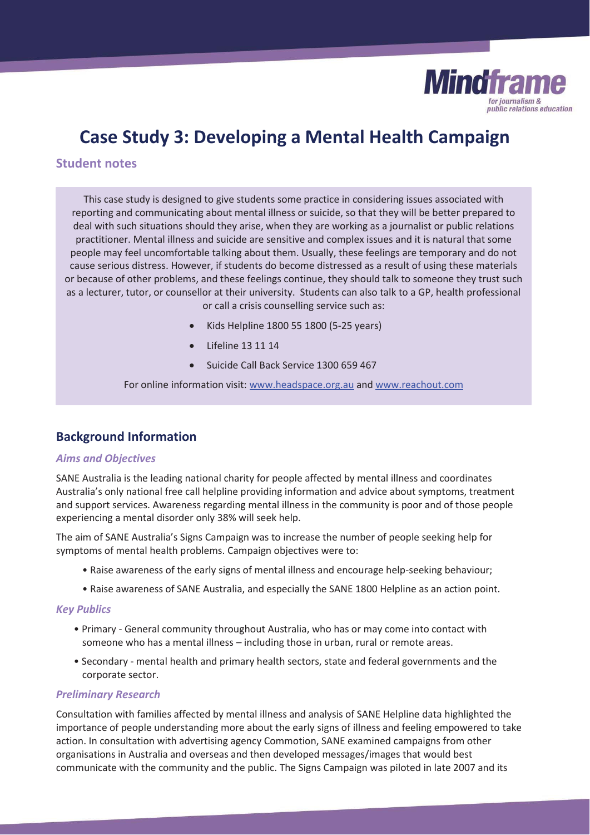

# **Case Study 3: Developing a Mental Health Campaign**

## **Student notes**

This case study is designed to give students some practice in considering issues associated with reporting and communicating about mental illness or suicide, so that they will be better prepared to deal with such situations should they arise, when they are working as a journalist or public relations practitioner. Mental illness and suicide are sensitive and complex issues and it is natural that some people may feel uncomfortable talking about them. Usually, these feelings are temporary and do not cause serious distress. However, if students do become distressed as a result of using these materials or because of other problems, and these feelings continue, they should talk to someone they trust such as a lecturer, tutor, or counsellor at their university. Students can also talk to a GP, health professional or call a crisis counselling service such as:

- x Kids Helpline 1800 55 1800 (5-25 years)
- Lifeline 13 11 14
- x Suicide Call Back Service 1300 659 467

For online information visit: www.headspace.org.au and www.reachout.com

# **Background Information**

#### *Aims and Objectives*

SANE Australia is the leading national charity for people affected by mental illness and coordinates Australia's only national free call helpline providing information and advice about symptoms, treatment and support services. Awareness regarding mental illness in the community is poor and of those people experiencing a mental disorder only 38% will seek help.

The aim of SANE Australia's Signs Campaign was to increase the number of people seeking help for symptoms of mental health problems. Campaign objectives were to:

- Raise awareness of the early signs of mental illness and encourage help-seeking behaviour;
- Raise awareness of SANE Australia, and especially the SANE 1800 Helpline as an action point.

#### *Key Publics*

- Primary General community throughout Australia, who has or may come into contact with someone who has a mental illness – including those in urban, rural or remote areas.
- Secondary mental health and primary health sectors, state and federal governments and the corporate sector.

### *Preliminary Research*

Consultation with families affected by mental illness and analysis of SANE Helpline data highlighted the importance of people understanding more about the early signs of illness and feeling empowered to take action. In consultation with advertising agency Commotion, SANE examined campaigns from other organisations in Australia and overseas and then developed messages/images that would best communicate with the community and the public. The Signs Campaign was piloted in late 2007 and its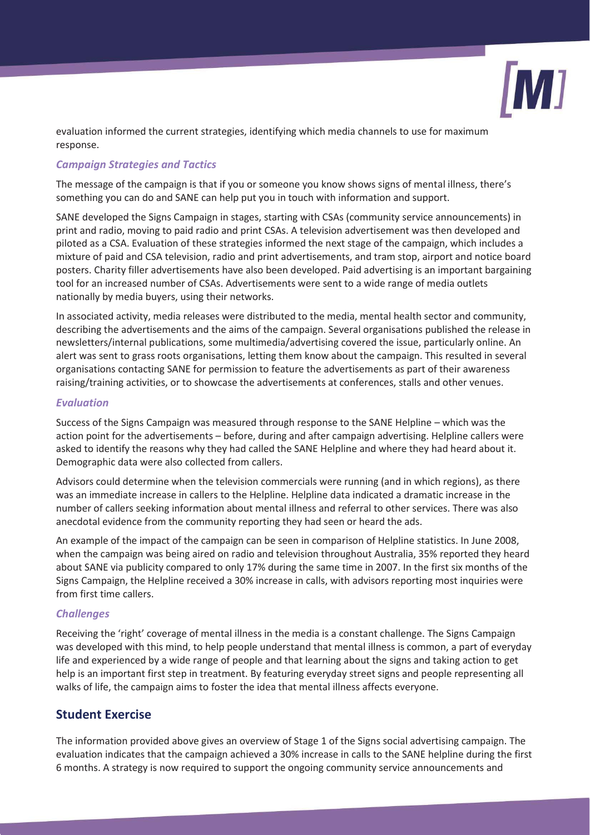

evaluation informed the current strategies, identifying which media channels to use for maximum response.

## *Campaign Strategies and Tactics*

The message of the campaign is that if you or someone you know shows signs of mental illness, there's something you can do and SANE can help put you in touch with information and support.

SANE developed the Signs Campaign in stages, starting with CSAs (community service announcements) in print and radio, moving to paid radio and print CSAs. A television advertisement was then developed and piloted as a CSA. Evaluation of these strategies informed the next stage of the campaign, which includes a mixture of paid and CSA television, radio and print advertisements, and tram stop, airport and notice board posters. Charity filler advertisements have also been developed. Paid advertising is an important bargaining tool for an increased number of CSAs. Advertisements were sent to a wide range of media outlets nationally by media buyers, using their networks.

In associated activity, media releases were distributed to the media, mental health sector and community, describing the advertisements and the aims of the campaign. Several organisations published the release in newsletters/internal publications, some multimedia/advertising covered the issue, particularly online. An alert was sent to grass roots organisations, letting them know about the campaign. This resulted in several organisations contacting SANE for permission to feature the advertisements as part of their awareness raising/training activities, or to showcase the advertisements at conferences, stalls and other venues.

## *Evaluation*

Success of the Signs Campaign was measured through response to the SANE Helpline – which was the action point for the advertisements – before, during and after campaign advertising. Helpline callers were asked to identify the reasons why they had called the SANE Helpline and where they had heard about it. Demographic data were also collected from callers.

Advisors could determine when the television commercials were running (and in which regions), as there was an immediate increase in callers to the Helpline. Helpline data indicated a dramatic increase in the number of callers seeking information about mental illness and referral to other services. There was also anecdotal evidence from the community reporting they had seen or heard the ads.

An example of the impact of the campaign can be seen in comparison of Helpline statistics. In June 2008, when the campaign was being aired on radio and television throughout Australia, 35% reported they heard about SANE via publicity compared to only 17% during the same time in 2007. In the first six months of the Signs Campaign, the Helpline received a 30% increase in calls, with advisors reporting most inquiries were from first time callers.

## *Challenges*

Receiving the 'right' coverage of mental illness in the media is a constant challenge. The Signs Campaign was developed with this mind, to help people understand that mental illness is common, a part of everyday life and experienced by a wide range of people and that learning about the signs and taking action to get help is an important first step in treatment. By featuring everyday street signs and people representing all walks of life, the campaign aims to foster the idea that mental illness affects everyone.

# **Student Exercise**

The information provided above gives an overview of Stage 1 of the Signs social advertising campaign. The evaluation indicates that the campaign achieved a 30% increase in calls to the SANE helpline during the first 6 months. A strategy is now required to support the ongoing community service announcements and